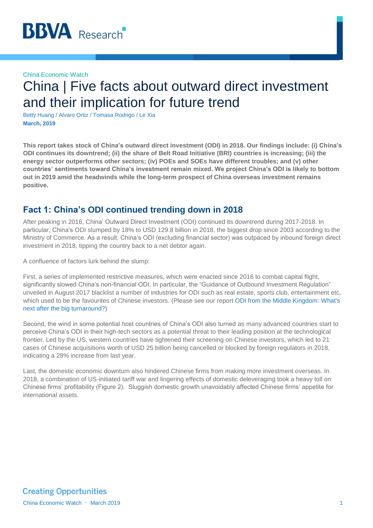#### China Economic Watch

# China | Five facts about outward direct investment and their implication for future trend

Betty Huang / Alvaro Ortiz / Tomasa Rodrigo / Le Xia **March, 2019**

**This report takes stock of China's outward direct investment (ODI) in 2018. Our findings include: (i) China's ODI continues its downtrend; (ii) the share of Belt Road Initiative (BRI) countries is increasing; (iii) the energy sector outperforms other sectors; (iv) POEs and SOEs have different troubles; and (v) other countries' sentiments toward China's investment remain mixed. We project China's ODI is likely to bottom out in 2019 amid the headwinds while the long-term prospect of China overseas investment remains positive.** 

### **Fact 1: China's ODI continued trending down in 2018**

After peaking in 2016, China' Outward Direct Investment (ODI) continued its downtrend during 2017-2018. In particular, China's ODI slumped by 18% to USD 129.8 billion in 2018, the biggest drop since 2003 according to the Ministry of Commerce. As a result, China's ODI (excluding financial sector) was outpaced by inbound foreign direct investment in 2018, tipping the country back to a net debtor again.

A confluence of factors lurk behind the slump:

First, a series of implemented restrictive measures, which were enacted since 2016 to combat capital flight, significantly slowed China's non-financial ODI. In particular, the "Guidance of Outbound Investment Regulation" unveiled in August 2017 blacklist a number of industries for ODI such as real estate, sports club, entertainment etc, which used to be the favourites of Chinese investors. (Please see our report [ODI from the Middle Kingdom: What's](https://www.bbvaresearch.com/en/publicaciones/china-odi-from-the-middle-kingdom-whats-next-after-the-big-turnaround/)  [next after the big turnaround?\)](https://www.bbvaresearch.com/en/publicaciones/china-odi-from-the-middle-kingdom-whats-next-after-the-big-turnaround/)

Second, the wind in some potential host countries of China's ODI also turned as many advanced countries start to perceive China's ODI in their high-tech sectors as a potential threat to their leading position at the technological frontier. Led by the US, western countries have tightened their screening on Chinese investors, which led to 21 cases of Chinese acquisitions worth of USD 25 billion being cancelled or blocked by foreign regulators in 2018, indicating a 28% increase from last year.

Last, the domestic economic downturn also hindered Chinese firms from making more investment overseas. In 2018, a combination of US-initiated tariff war and lingering effects of domestic deleveraging took a heavy toll on Chinese firms' profitability (Figure 2). Sluggish domestic growth unavoidably affected Chinese firms' appetite for international assets.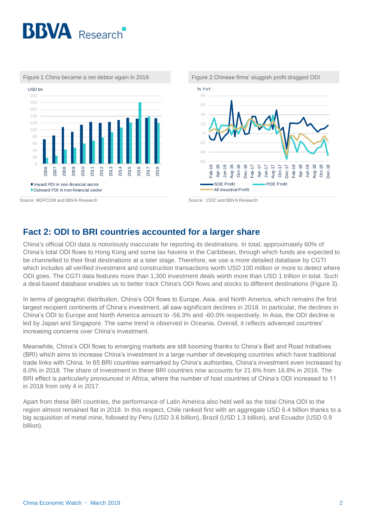



Figure 1 China became a net debtor again in 2018 Figure 2 Chinese firms' sluggish profit dragged ODI

### **Fact 2: ODI to BRI countries accounted for a larger share**

China's official ODI data is notoriously inaccurate for reporting its destinations. In total, approximately 60% of China's total ODI flows to Hong Kong and some tax havens in the Caribbean, through which funds are expected to be channelled to their final destinations at a later stage. Therefore, we use a more detailed database by CGTI which includes all verified investment and construction transactions worth USD 100 million or more to detect where ODI goes. The CGTI data features more than 1,300 investment deals worth more than USD 1 trillion in total. Such a deal-based database enables us to better track China's ODI flows and stocks to different destinations (Figure 3).

In terms of geographic distribution, China's ODI flows to Europe, Asia, and North America, which remains the first largest recipient continents of China's investment, all saw significant declines in 2018. In particular, the declines in China's ODI to Europe and North America amount to -56.3% and -60.0% respectively. In Asia, the ODI decline is led by Japan and Singapore. The same trend is observed in Oceania. Overall, it reflects advanced countries' increasing concerns over China's investment.

Meanwhile, China's ODI flows to emerging markets are still booming thanks to China's Belt and Road Initiatives (BRI) which aims to increase China's investment in a large number of developing countries which have traditional trade links with China. In 65 BRI countries earmarked by China's authorities, China's investment even increased by 8.0% in 2018. The share of investment in these BRI countries now accounts for 21.6% from 16.8% in 2016. The BRI effect is particularly pronounced in Africa, where the number of host countries of China's ODI increased to 11 in 2018 from only 4 in 2017.

Apart from these BRI countries, the performance of Latin America also held well as the total China ODI to the region almost remained flat in 2018. In this respect, Chile ranked first with an aggregate USD 6.4 billion thanks to a big acquisition of metal mine, followed by Peru (USD 3.6 billion), Brazil (USD 1.3 billion), and Ecuador (USD 0.9 billion).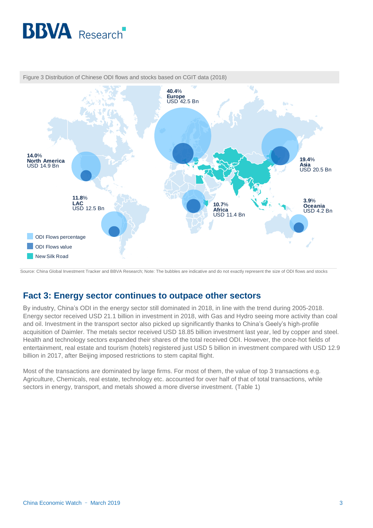



Figure 3 Distribution of Chinese ODI flows and stocks based on CGIT data (2018)

Source: China Global Investment Tracker and BBVA Research; Note: The bubbles are indicative and do not exactly represent the size of ODI flows and stocks

### **Fact 3: Energy sector continues to outpace other sectors**

By industry, China's ODI in the energy sector still dominated in 2018, in line with the trend during 2005-2018. Energy sector received USD 21.1 billion in investment in 2018, with Gas and Hydro seeing more activity than coal and oil. Investment in the transport sector also picked up significantly thanks to China's Geely's high-profile acquisition of Daimler. The metals sector received USD 18.85 billion investment last year, led by copper and steel. Health and technology sectors expanded their shares of the total received ODI. However, the once-hot fields of entertainment, real estate and tourism (hotels) registered just USD 5 billion in investment compared with USD 12.9 billion in 2017, after Beijing imposed restrictions to stem capital flight.

Most of the transactions are dominated by large firms. For most of them, the value of top 3 transactions e.g. Agriculture, Chemicals, real estate, technology etc. accounted for over half of that of total transactions, while sectors in energy, transport, and metals showed a more diverse investment. (Table 1)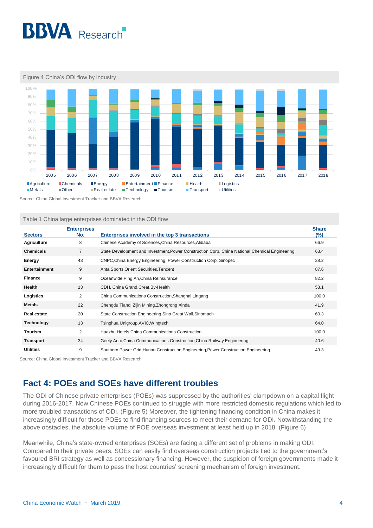

Figure 4 China's ODI flow by industry



Source: China Global Investment Tracker and BBVA Research

Table 1 China large enterprises dominated in the ODI flow

| <b>Sectors</b>       | <b>Enterprises</b><br>No. | Enterprises involved in the top 3 transactions                                                 | <b>Share</b><br>$(\%)$ |
|----------------------|---------------------------|------------------------------------------------------------------------------------------------|------------------------|
| <b>Agriculture</b>   | 8                         | Chinese Academy of Sciences, China Resources, Alibaba                                          | 66.9                   |
| <b>Chemicals</b>     | $\overline{7}$            | State Development and Investment, Power Construction Corp, China National Chemical Engineering | 63.4                   |
| Energy               | 43                        | CNPC, China Energy Engineering, Power Construction Corp, Sinopec                               | 38.2                   |
| <b>Entertainment</b> | 9                         | Anta Sports, Orient Securities, Tencent                                                        | 87.6                   |
| <b>Finance</b>       | 9                         | Oceanwide, Ping An, China Reinsurance                                                          | 82.2                   |
| Health               | 13                        | CDH, China Grand, Creat, By-Health                                                             | 53.1                   |
| Logistics            | $\overline{2}$            | China Communications Construction, Shanghai Lingang                                            | 100.0                  |
| <b>Metals</b>        | 22                        | Chengdu Tianqi, Zijin Mining, Zhongrong Xinda                                                  | 41.9                   |
| <b>Real estate</b>   | 20                        | State Construction Engineering, Sino Great Wall, Sinomach                                      | 60.3                   |
| <b>Technology</b>    | 13                        | Tsinghua Unigroup, AVIC, Wingtech                                                              | 64.0                   |
| <b>Tourism</b>       | $\overline{2}$            | Huazhu Hotels, China Communications Construction                                               | 100.0                  |
| <b>Transport</b>     | 34                        | Geely Auto, China Communications Construction, China Railway Engineering                       | 40.6                   |
| <b>Utilities</b>     | 9                         | Southern Power Grid, Hunan Construction Engineering, Power Construction Engineering            | 49.3                   |

Source: China Global Investment Tracker and BBVA Research

# **Fact 4: POEs and SOEs have different troubles**

The ODI of Chinese private enterprises (POEs) was suppressed by the authorities' clampdown on a capital flight during 2016-2017. Now Chinese POEs continued to struggle with more restricted domestic regulations which led to more troubled transactions of ODI. (Figure 5) Moreover, the tightening financing condition in China makes it increasingly difficult for those POEs to find financing sources to meet their demand for ODI. Notwithstanding the above obstacles, the absolute volume of POE overseas investment at least held up in 2018. (Figure 6)

Meanwhile, China's state-owned enterprises (SOEs) are facing a different set of problems in making ODI. Compared to their private peers, SOEs can easily find overseas construction projects tied to the government's favoured BRI strategy as well as concessionary financing. However, the suspicion of foreign governments made it increasingly difficult for them to pass the host countries' screening mechanism of foreign investment.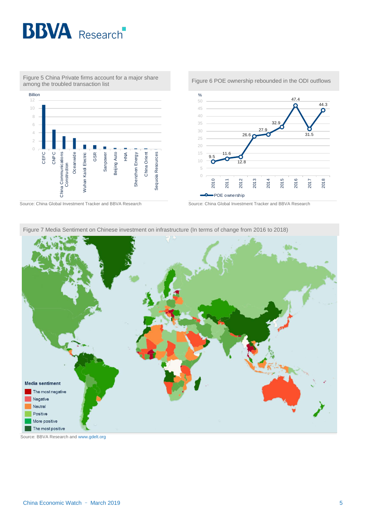



Figure 5 China Private firms account for a major share

Source: China Global Investment Tracker and BBVA Research Source: China Global Investment Tracker and BBVA Research







Figure 7 Media Sentiment on Chinese investment on infrastructure (In terms of change from 2016 to 2018)

Source: BBVA Research and [www.gdelt.org](http://www.gdelt.org/)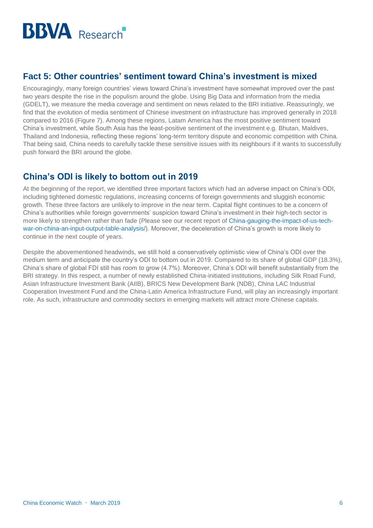

## **Fact 5: Other countries' sentiment toward China's investment is mixed**

Encouragingly, many foreign countries' views toward China's investment have somewhat improved over the past two years despite the rise in the populism around the globe. Using Big Data and information from the media (GDELT), we measure the media coverage and sentiment on news related to the BRI initiative. Reassuringly, we find that the evolution of media sentiment of Chinese investment on infrastructure has improved generally in 2018 compared to 2016 (Figure 7). Among these regions, Latam America has the most positive sentiment toward China's investment, while South Asia has the least-positive sentiment of the investment e.g. Bhutan, Maldives, Thailand and Indonesia, reflecting these regions' long-term territory dispute and economic competition with China. That being said, China needs to carefully tackle these sensitive issues with its neighbours if it wants to successfully push forward the BRI around the globe.

### **China's ODI is likely to bottom out in 2019**

At the beginning of the report, we identified three important factors which had an adverse impact on China's ODI, including tightened domestic regulations, increasing concerns of foreign governments and sluggish economic growth. These three factors are unlikely to improve in the near term. Capital flight continues to be a concern of China's authorities while foreign governments' suspicion toward China's investment in their high-tech sector is more likely to strengthen rather than fade (Please see our recent report of [China-gauging-the-impact-of-us-tech](https://www.bbvaresearch.com/en/publicaciones/china-gauging-the-impact-of-us-tech-war-on-china-an-input-output-table-analysis/)[war-on-china-an-input-output-table-analysis/\)](https://www.bbvaresearch.com/en/publicaciones/china-gauging-the-impact-of-us-tech-war-on-china-an-input-output-table-analysis/). Moreover, the deceleration of China's growth is more likely to continue in the next couple of years.

Despite the abovementioned headwinds, we still hold a conservatively optimistic view of China's ODI over the medium term and anticipate the country's ODI to bottom out in 2019. Compared to its share of global GDP (18.3%), China's share of global FDI still has room to grow (4.7%). Moreover, China's ODI will benefit substantially from the BRI strategy. In this respect, a number of newly established China-initiated institutions, including Silk Road Fund, Asian Infrastructure Investment Bank (AIIB), BRICS New Development Bank (NDB), China LAC Industrial Cooperation Investment Fund and the China-Latin America Infrastructure Fund, will play an increasingly important role. As such, infrastructure and commodity sectors in emerging markets will attract more Chinese capitals.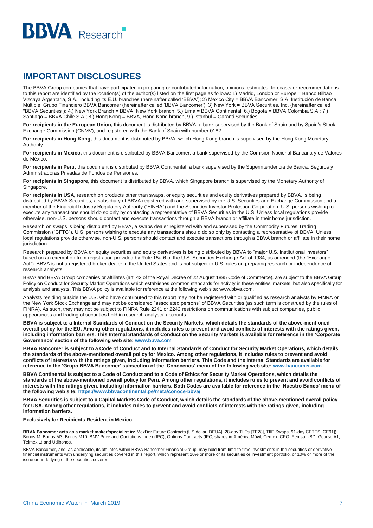

# **IMPORTANT DISCLOSURES**

The BBVA Group companies that have participated in preparing or contributed information, opinions, estimates, forecasts or recommendations to this report are identified by the location(s) of the author(s) listed on the first page as follows: 1) Madrid, London or Europe = Banco Bilbao Vizcaya Argentaria, S.A., including its E.U. branches (hereinafter called 'BBVA'); 2) Mexico City = BBVA Bancomer, S.A. Institución de Banca Múltiple, Grupo Financiero BBVA Bancomer (hereinafter called 'BBVA Bancomer'); 3) New York = BBVA Securities, Inc. (hereinafter called "BBVA Securities"); 4.) New York Branch = BBVA, New York branch; 5.) Lima = BBVA Continental; 6.) Bogota = BBVA Colombia S.A.; 7.) Santiago = BBVA Chile S.A.; 8.) Hong Kong = BBVA, Hong Kong branch, 9.) Istanbul = Garanti Securities.

For recipients in the European Union, this document is distributed by BBVA, a bank supervised by the Bank of Spain and by Spain's Stock Exchange Commission (CNMV), and registered with the Bank of Spain with number 0182.

**For recipients in Hong Kong,** this document is distributed by BBVA, which Hong Kong branch is supervised by the Hong Kong Monetary Authority.

**For recipients in Mexico,** this document is distributed by BBVA Bancomer, a bank supervised by the Comisión Nacional Bancaria y de Valores de México.

**For recipients in Peru,** this document is distributed by BBVA Continental, a bank supervised by the Superintendencia de Banca, Seguros y Administradoras Privadas de Fondos de Pensiones.

**For recipients in Singapore,** this document is distributed by BBVA, which Singapore branch is supervised by the Monetary Authority of Singapore.

For recipients in USA, research on products other than swaps, or equity securities and equity derivatives prepared by BBVA, is being distributed by BBVA Securities, a subsidiary of BBVA registered with and supervised by the U.S. Securities and Exchange Commission and a member of the Financial Industry Regulatory Authority ("FINRA") and the Securities Investor Protection Corporation. U.S. persons wishing to execute any transactions should do so only by contacting a representative of BBVA Securities in the U.S. Unless local regulations provide otherwise, non-U.S. persons should contact and execute transactions through a BBVA branch or affiliate in their home jurisdiction.

Research on swaps is being distributed by BBVA, a swaps dealer registered with and supervised by the Commodity Futures Trading Commission ("CFTC"). U.S. persons wishing to execute any transactions should do so only by contacting a representative of BBVA. Unless local regulations provide otherwise, non-U.S. persons should contact and execute transactions through a BBVA branch or affiliate in their home jurisdiction.

Research prepared by BBVA on equity securities and equity derivatives is being distributed by BBVA to "major U.S. institutional investors" based on an exemption from registration provided by Rule 15a-6 of the U.S. Securities Exchange Act of 1934, as amended (the "Exchange Act"). BBVA is not a registered broker-dealer in the United States and is not subject to U.S. rules on preparing research or independence of research analysts.

BBVA and BBVA Group companies or affiliates (art. 42 of the Royal Decree of 22 August 1885 Code of Commerce), are subject to the BBVA Group Policy on Conduct for Security Market Operations which establishes common standards for activity in these entities' markets, but also specifically for analysis and analysts. This BBVA policy is available for reference at the following web site: www.bbva.com.

Analysts residing outside the U.S. who have contributed to this report may not be registered with or qualified as research analysts by FINRA or the New York Stock Exchange and may not be considered "associated persons" of BBVA Securities (as such term is construed by the rules of FINRA). As such, they may not be subject to FINRA Rule 2241 or 2242 restrictions on communications with subject companies, public appearances and trading of securities held in research analysts' accounts.

**BBVA is subject to a Internal Standards of Conduct on the Security Markets, which details the standards of the above-mentioned overall policy for the EU. Among other regulations, it includes rules to prevent and avoid conflicts of interests with the ratings given, including information barriers. This Internal Standards of Conduct on the Security Markets is available for reference in the 'Corporate Governance' section of the following web site: www.bbva.com**

**BBVA Bancomer is subject to a Code of Conduct and to Internal Standards of Conduct for Security Market Operations, which details the standards of the above-mentioned overall policy for Mexico. Among other regulations, it includes rules to prevent and avoid conflicts of interests with the ratings given, including information barriers. This Code and the Internal Standards are available for reference in the 'Grupo BBVA Bancomer' subsection of the 'Conócenos' menu of the following web site[: www.bancomer.com](http://www.bancomer.com/)**

**BBVA Continental is subject to a Code of Conduct and to a Code of Ethics for Security Market Operations, which details the standards of the above-mentioned overall policy for Peru. Among other regulations, it includes rules to prevent and avoid conflicts of interests with the ratings given, including information barriers. Both Codes are available for reference in the 'Nuestro Banco' menu of the following web site:<https://www.bbvacontinental.pe/meta/conoce-bbva/>**

**BBVA Securities is subject to a Capital Markets Code of Conduct, which details the standards of the above-mentioned overall policy for USA. Among other regulations, it includes rules to prevent and avoid conflicts of interests with the ratings given, including information barriers.**

#### **Exclusively for Recipients Resident in Mexico**

**BBVA Bancomer acts as a market maker/specialist in:** MexDer Future Contracts (US dollar [DEUA], 28-day TIIEs [TE28], TIIE Swaps, 91-day CETES [CE91]), Bonos M, Bonos M3, Bonos M10, BMV Price and Quotations Index (IPC), Options Contracts (IPC, shares in América Móvil, Cemex, CPO, Femsa UBD, Gcarso A1, Telmex L) and Udibonos.

BBVA Bancomer, and, as applicable, its affiliates within BBVA Bancomer Financial Group, may hold from time to time investments in the securities or derivative financial instruments with underlying securities covered in this report, which represent 10% or more of its securities or investment portfolio, or 10% or more of the issue or underlying of the securities covered.